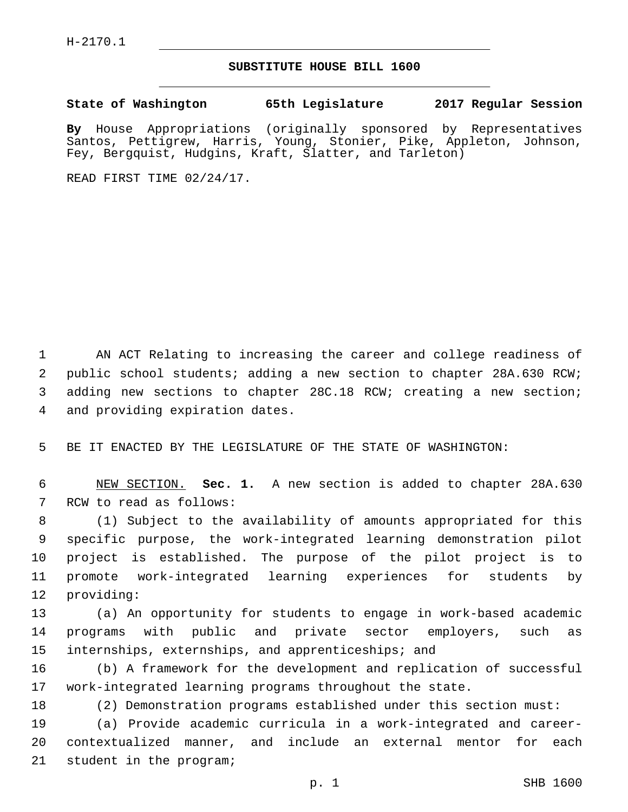## **SUBSTITUTE HOUSE BILL 1600**

**State of Washington 65th Legislature 2017 Regular Session**

**By** House Appropriations (originally sponsored by Representatives Santos, Pettigrew, Harris, Young, Stonier, Pike, Appleton, Johnson, Fey, Bergquist, Hudgins, Kraft, Slatter, and Tarleton)

READ FIRST TIME 02/24/17.

 AN ACT Relating to increasing the career and college readiness of public school students; adding a new section to chapter 28A.630 RCW; adding new sections to chapter 28C.18 RCW; creating a new section; 4 and providing expiration dates.

5 BE IT ENACTED BY THE LEGISLATURE OF THE STATE OF WASHINGTON:

6 NEW SECTION. **Sec. 1.** A new section is added to chapter 28A.630 7 RCW to read as follows:

 (1) Subject to the availability of amounts appropriated for this specific purpose, the work-integrated learning demonstration pilot project is established. The purpose of the pilot project is to promote work-integrated learning experiences for students by 12 providing:

13 (a) An opportunity for students to engage in work-based academic 14 programs with public and private sector employers, such as 15 internships, externships, and apprenticeships; and

16 (b) A framework for the development and replication of successful 17 work-integrated learning programs throughout the state.

18 (2) Demonstration programs established under this section must:

19 (a) Provide academic curricula in a work-integrated and career-20 contextualized manner, and include an external mentor for each 21 student in the program;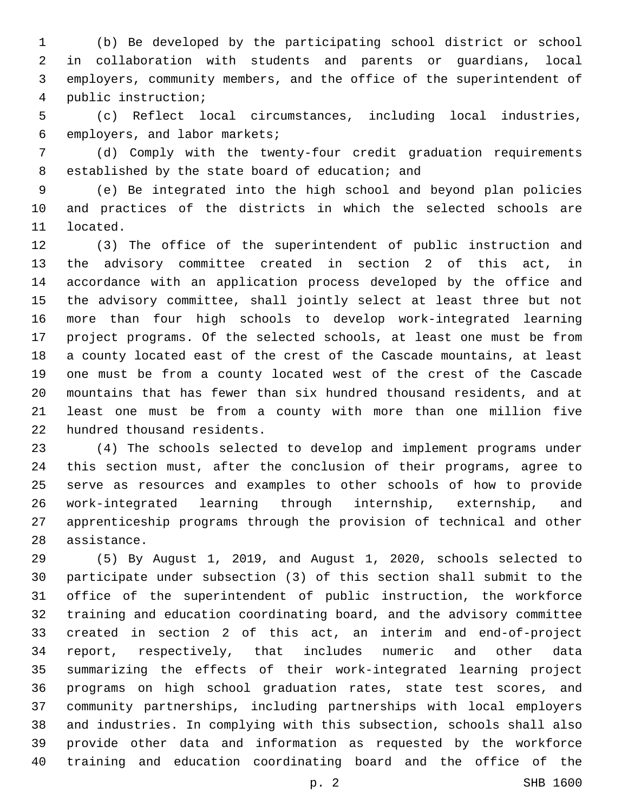(b) Be developed by the participating school district or school in collaboration with students and parents or guardians, local employers, community members, and the office of the superintendent of public instruction;4

 (c) Reflect local circumstances, including local industries, 6 employers, and labor markets;

 (d) Comply with the twenty-four credit graduation requirements 8 established by the state board of education; and

 (e) Be integrated into the high school and beyond plan policies and practices of the districts in which the selected schools are 11 located.

 (3) The office of the superintendent of public instruction and the advisory committee created in section 2 of this act, in accordance with an application process developed by the office and the advisory committee, shall jointly select at least three but not more than four high schools to develop work-integrated learning project programs. Of the selected schools, at least one must be from a county located east of the crest of the Cascade mountains, at least one must be from a county located west of the crest of the Cascade mountains that has fewer than six hundred thousand residents, and at least one must be from a county with more than one million five 22 hundred thousand residents.

 (4) The schools selected to develop and implement programs under this section must, after the conclusion of their programs, agree to serve as resources and examples to other schools of how to provide work-integrated learning through internship, externship, and apprenticeship programs through the provision of technical and other 28 assistance.

 (5) By August 1, 2019, and August 1, 2020, schools selected to participate under subsection (3) of this section shall submit to the office of the superintendent of public instruction, the workforce training and education coordinating board, and the advisory committee created in section 2 of this act, an interim and end-of-project report, respectively, that includes numeric and other data summarizing the effects of their work-integrated learning project programs on high school graduation rates, state test scores, and community partnerships, including partnerships with local employers and industries. In complying with this subsection, schools shall also provide other data and information as requested by the workforce training and education coordinating board and the office of the

p. 2 SHB 1600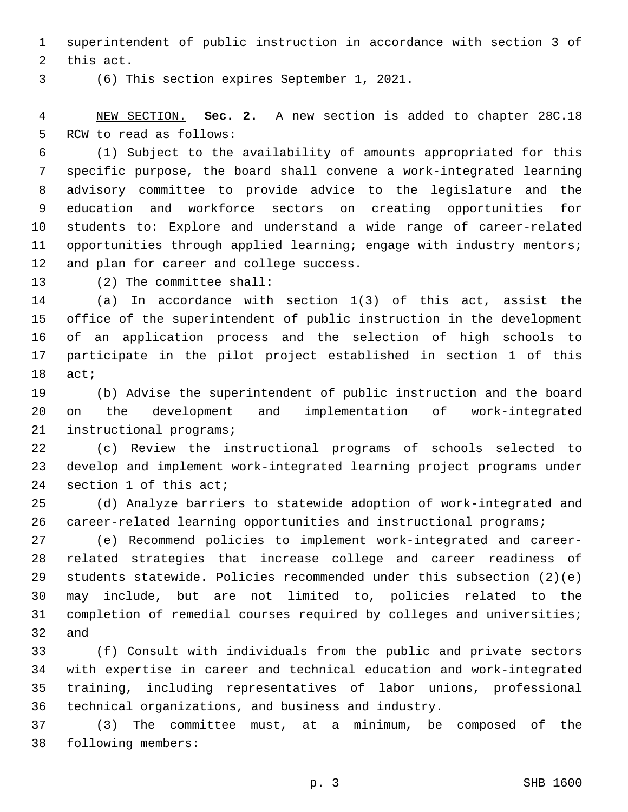superintendent of public instruction in accordance with section 3 of 2 this act.

(6) This section expires September 1, 2021.3

 NEW SECTION. **Sec. 2.** A new section is added to chapter 28C.18 5 RCW to read as follows:

 (1) Subject to the availability of amounts appropriated for this specific purpose, the board shall convene a work-integrated learning advisory committee to provide advice to the legislature and the education and workforce sectors on creating opportunities for students to: Explore and understand a wide range of career-related 11 opportunities through applied learning; engage with industry mentors; 12 and plan for career and college success.

13 (2) The committee shall:

 (a) In accordance with section 1(3) of this act, assist the office of the superintendent of public instruction in the development of an application process and the selection of high schools to participate in the pilot project established in section 1 of this 18 act;

 (b) Advise the superintendent of public instruction and the board on the development and implementation of work-integrated 21 instructional programs;

 (c) Review the instructional programs of schools selected to develop and implement work-integrated learning project programs under 24 section 1 of this act;

 (d) Analyze barriers to statewide adoption of work-integrated and 26 career-related learning opportunities and instructional programs;

 (e) Recommend policies to implement work-integrated and career- related strategies that increase college and career readiness of students statewide. Policies recommended under this subsection (2)(e) may include, but are not limited to, policies related to the completion of remedial courses required by colleges and universities; and

 (f) Consult with individuals from the public and private sectors with expertise in career and technical education and work-integrated training, including representatives of labor unions, professional technical organizations, and business and industry.

 (3) The committee must, at a minimum, be composed of the 38 following members: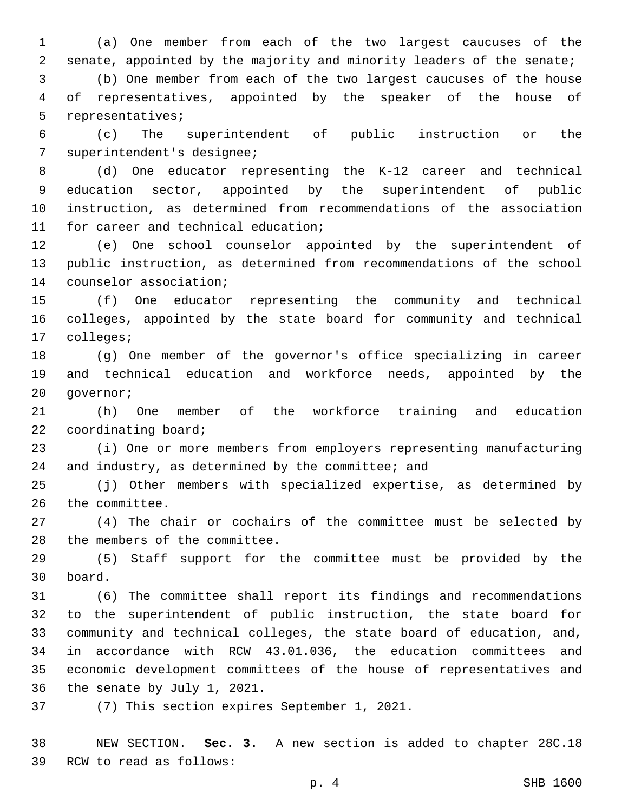(a) One member from each of the two largest caucuses of the senate, appointed by the majority and minority leaders of the senate;

 (b) One member from each of the two largest caucuses of the house of representatives, appointed by the speaker of the house of 5 representatives;

 (c) The superintendent of public instruction or the 7 superintendent's designee;

 (d) One educator representing the K-12 career and technical education sector, appointed by the superintendent of public instruction, as determined from recommendations of the association 11 for career and technical education;

 (e) One school counselor appointed by the superintendent of public instruction, as determined from recommendations of the school 14 counselor association;

 (f) One educator representing the community and technical colleges, appointed by the state board for community and technical 17 colleges;

 (g) One member of the governor's office specializing in career and technical education and workforce needs, appointed by the 20 governor;

 (h) One member of the workforce training and education 22 coordinating board;

 (i) One or more members from employers representing manufacturing 24 and industry, as determined by the committee; and

 (j) Other members with specialized expertise, as determined by 26 the committee.

 (4) The chair or cochairs of the committee must be selected by 28 the members of the committee.

 (5) Staff support for the committee must be provided by the board.30

 (6) The committee shall report its findings and recommendations to the superintendent of public instruction, the state board for community and technical colleges, the state board of education, and, in accordance with RCW 43.01.036, the education committees and economic development committees of the house of representatives and 36 the senate by July 1, 2021.

37 (7) This section expires September 1, 2021.

 NEW SECTION. **Sec. 3.** A new section is added to chapter 28C.18 39 RCW to read as follows: